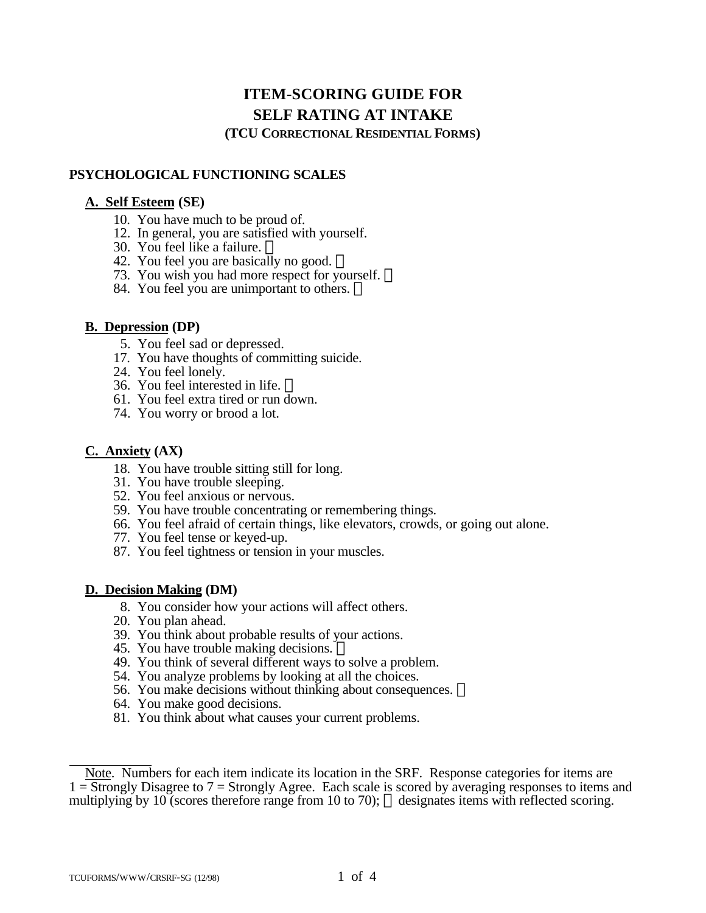# **ITEM-SCORING GUIDE FOR SELF RATING AT INTAKE**

**(TCU CORRECTIONAL RESIDENTIAL FORMS)**

# **PSYCHOLOGICAL FUNCTIONING SCALES**

## **A. Self Esteem (SE)**

- 10. You have much to be proud of.
- 12. In general, you are satisfied with yourself.
- 30. You feel like a failure.
- 42. You feel you are basically no good.
- 73. You wish you had more respect for yourself.
- 84. You feel you are unimportant to others.  $\circledR$

# **B. Depression (DP)**

- 5. You feel sad or depressed.
- 17. You have thoughts of committing suicide.
- 24. You feel lonely.
- 36. You feel interested in life.
- 61. You feel extra tired or run down.
- 74. You worry or brood a lot.

# **C. Anxiety (AX)**

- 18. You have trouble sitting still for long.
- 31. You have trouble sleeping.
- 52. You feel anxious or nervous.
- 59. You have trouble concentrating or remembering things.
- 66. You feel afraid of certain things, like elevators, crowds, or going out alone.
- 77. You feel tense or keyed-up.
- 87. You feel tightness or tension in your muscles.

# **D. Decision Making (DM)**

- 8. You consider how your actions will affect others.
- 20. You plan ahead.
- 39. You think about probable results of your actions.
- 45. You have trouble making decisions.
- 49. You think of several different ways to solve a problem.
- 54. You analyze problems by looking at all the choices.
- 56. You make decisions without thinking about consequences.  $\mathbb{R}$
- 64. You make good decisions.
- 81. You think about what causes your current problems.

 $\overline{a}$ Note. Numbers for each item indicate its location in the SRF. Response categories for items are  $1 =$  Strongly Disagree to  $7 =$  Strongly Agree. Each scale is scored by averaging responses to items and multiplying by 10 (scores therefore range from 10 to 70);  $\circledR$  designates items with reflected scoring.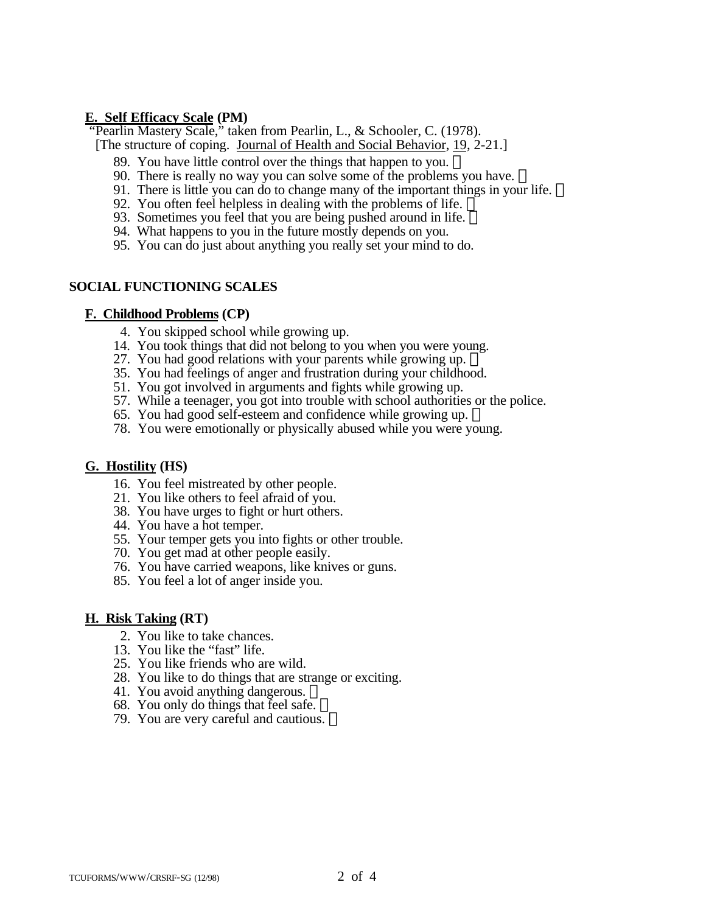## **E. Self Efficacy Scale (PM)**

"Pearlin Mastery Scale," taken from Pearlin, L., & Schooler, C. (1978).

- [The structure of coping. Journal of Health and Social Behavior, 19, 2-21.]
	- 89. You have little control over the things that happen to you.
	- 90. There is really no way you can solve some of the problems you have.
	- 91. There is little you can do to change many of the important things in your life. ®
	- 92. You often feel helpless in dealing with the problems of life.  $\overline{B}$
	- 93. Sometimes you feel that you are being pushed around in life.  $\mathbb{R}$
	- 94. What happens to you in the future mostly depends on you.
	- 95. You can do just about anything you really set your mind to do.

### **SOCIAL FUNCTIONING SCALES**

#### **F. Childhood Problems (CP)**

- 4. You skipped school while growing up.
- 14. You took things that did not belong to you when you were young.
- 27. You had good relations with your parents while growing up.  $\mathbb{B}$
- 35. You had feelings of anger and frustration during your childhood.
- 51. You got involved in arguments and fights while growing up.
- 57. While a teenager, you got into trouble with school authorities or the police.
- 65. You had good self-esteem and confidence while growing up.
- 78. You were emotionally or physically abused while you were young.

### **G. Hostility (HS)**

- 16. You feel mistreated by other people.
- 21. You like others to feel afraid of you.
- 38. You have urges to fight or hurt others.
- 44. You have a hot temper.
- 55. Your temper gets you into fights or other trouble.
- 70. You get mad at other people easily.
- 76. You have carried weapons, like knives or guns.
- 85. You feel a lot of anger inside you.

#### **H. Risk Taking (RT)**

- 2. You like to take chances.
- 13. You like the "fast" life.
- 25. You like friends who are wild.
- 28. You like to do things that are strange or exciting.
- 41. You avoid anything dangerous.  $\mathbb{R}$
- 68. You only do things that feel safe.
- 79. You are very careful and cautious.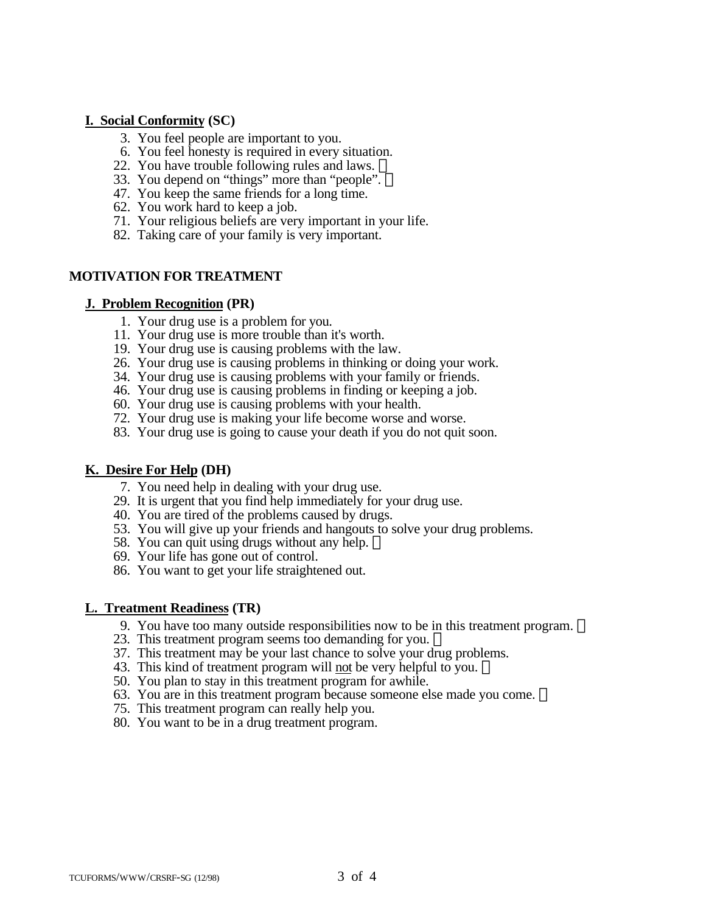#### **I. Social Conformity (SC)**

- 3. You feel people are important to you.
- 6. You feel honesty is required in every situation.
- 22. You have trouble following rules and laws.
- 33. You depend on "things" more than "people".
- 47. You keep the same friends for a long time.
- 62. You work hard to keep a job.
- 71. Your religious beliefs are very important in your life.
- 82. Taking care of your family is very important.

# **MOTIVATION FOR TREATMENT**

#### **J. Problem Recognition (PR)**

- 1. Your drug use is a problem for you.
- 11. Your drug use is more trouble than it's worth.
- 19. Your drug use is causing problems with the law.
- 26. Your drug use is causing problems in thinking or doing your work.
- 34. Your drug use is causing problems with your family or friends.
- 46. Your drug use is causing problems in finding or keeping a job.
- 60. Your drug use is causing problems with your health.
- 72. Your drug use is making your life become worse and worse.
- 83. Your drug use is going to cause your death if you do not quit soon.

### **K. Desire For Help (DH)**

- 7. You need help in dealing with your drug use.
- 29. It is urgent that you find help immediately for your drug use.
- 40. You are tired of the problems caused by drugs.
- 53. You will give up your friends and hangouts to solve your drug problems.
- 58. You can quit using drugs without any help.
- 69. Your life has gone out of control.
- 86. You want to get your life straightened out.

### **L. Treatment Readiness (TR)**

- 9. You have too many outside responsibilities now to be in this treatment program.
- 23. This treatment program seems too demanding for you.  $\mathbb{R}$
- 37. This treatment may be your last chance to solve your drug problems.
- 43. This kind of treatment program will not be very helpful to you.
- 50. You plan to stay in this treatment program for awhile.
- 63. You are in this treatment program because someone else made you come.
- 75. This treatment program can really help you.
- 80. You want to be in a drug treatment program.